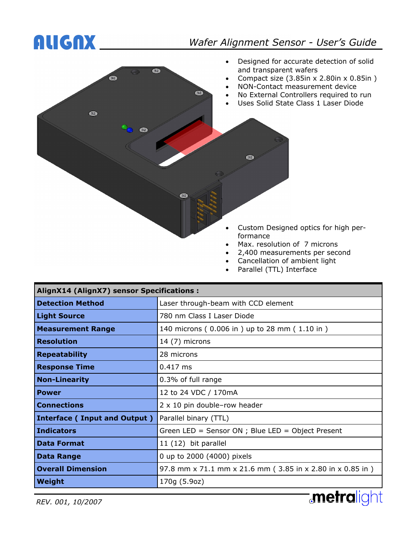### ALIGNX *Wafer Alignment Sensor - User's Guide*



- 2,400 measurements per second
- Cancellation of ambient light
- Parallel (TTL) Interface

| <b>AlignX14 (AlignX7) sensor Specifications:</b> |                                                           |  |  |  |  |
|--------------------------------------------------|-----------------------------------------------------------|--|--|--|--|
| <b>Detection Method</b>                          | Laser through-beam with CCD element                       |  |  |  |  |
| <b>Light Source</b>                              | 780 nm Class I Laser Diode                                |  |  |  |  |
| <b>Measurement Range</b>                         | 140 microns (0.006 in) up to 28 mm (1.10 in)              |  |  |  |  |
| <b>Resolution</b>                                | 14 (7) microns                                            |  |  |  |  |
| <b>Repeatability</b>                             | 28 microns                                                |  |  |  |  |
| <b>Response Time</b>                             | $0.417$ ms                                                |  |  |  |  |
| <b>Non-Linearity</b>                             | 0.3% of full range                                        |  |  |  |  |
| <b>Power</b>                                     | 12 to 24 VDC / 170mA                                      |  |  |  |  |
| <b>Connections</b>                               | $2 \times 10$ pin double-row header                       |  |  |  |  |
| Interface (Input and Output)                     | Parallel binary (TTL)                                     |  |  |  |  |
| <b>Indicators</b>                                | Green LED = Sensor ON ; Blue LED = Object Present         |  |  |  |  |
| <b>Data Format</b>                               | 11 (12) bit parallel                                      |  |  |  |  |
| <b>Data Range</b>                                | 0 up to 2000 (4000) pixels                                |  |  |  |  |
| <b>Overall Dimension</b>                         | 97.8 mm x 71.1 mm x 21.6 mm (3.85 in x 2.80 in x 0.85 in) |  |  |  |  |
| Weight                                           | 170g (5.9oz)<br>$\cdots$                                  |  |  |  |  |

*REV. 001, 10/2007* 

**metralight**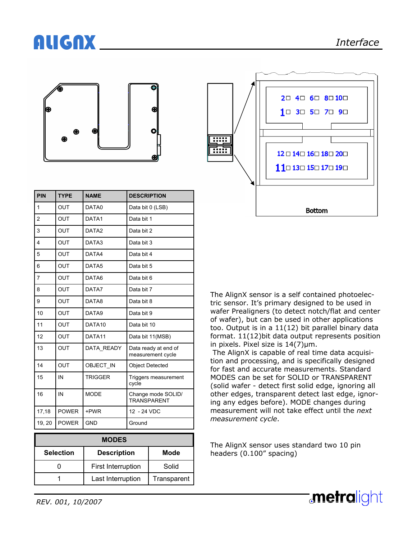# ALIGNX *Interface*





| PIN    | <b>TYPE</b>  | <b>NAME</b>       | <b>DESCRIPTION</b>                        |  |
|--------|--------------|-------------------|-------------------------------------------|--|
| 1      | OUT          | DATA0             | Data bit 0 (LSB)                          |  |
| 2      | <b>OUT</b>   | DATA1             | Data bit 1                                |  |
| 3      | <b>OUT</b>   | DATA <sub>2</sub> | Data bit 2                                |  |
| 4      | <b>OUT</b>   | DATA3             | Data bit 3                                |  |
| 5      | <b>OUT</b>   | DATA4             | Data bit 4                                |  |
| 6      | OUT          | DATA5             | Data bit 5                                |  |
| 7      | OUT          | DATA6             | Data bit 6                                |  |
| 8      | OUT          | DATA7             | Data bit 7                                |  |
| 9      | <b>OUT</b>   | DATA8             | Data bit 8                                |  |
| 10     | <b>OUT</b>   | DATA9             | Data bit 9                                |  |
| 11     | OUT          | DATA10            | Data bit 10                               |  |
| 12     | OUT          | DATA11            | Data bit 11(MSB)                          |  |
| 13     | OUT          | DATA READY        | Data ready at end of<br>measurement cycle |  |
| 14     | OUT          | OBJECT IN         | <b>Object Detected</b>                    |  |
| 15     | IN           | <b>TRIGGER</b>    | Triggers measurement<br>cycle             |  |
| 16     | IN           | <b>MODE</b>       | Change mode SOLID/<br><b>TRANSPARENT</b>  |  |
| 17,18  | <b>POWER</b> | +PWR              | 12 - 24 VDC                               |  |
| 19, 20 | <b>POWER</b> | <b>GND</b>        | Ground                                    |  |

| <b>MODES</b>     |                           |             |  |  |  |
|------------------|---------------------------|-------------|--|--|--|
| <b>Selection</b> | <b>Description</b>        | Mode        |  |  |  |
|                  | <b>First Interruption</b> | Solid       |  |  |  |
|                  | Last Interruption         | Transparent |  |  |  |

The AlignX sensor is a self contained photoelectric sensor. It's primary designed to be used in wafer Prealigners (to detect notch/flat and center of wafer), but can be used in other applications too. Output is in a 11(12) bit parallel binary data format. 11(12)bit data output represents position in pixels. Pixel size is 14(7)µm.

 The AlignX is capable of real time data acquisition and processing, and is specifically designed for fast and accurate measurements. Standard MODES can be set for SOLID or TRANSPARENT (solid wafer - detect first solid edge, ignoring all other edges, transparent detect last edge, ignoring any edges before). MODE changes during measurement will not take effect until the *next measurement cycle*.

The AlignX sensor uses standard two 10 pin headers (0.100" spacing)

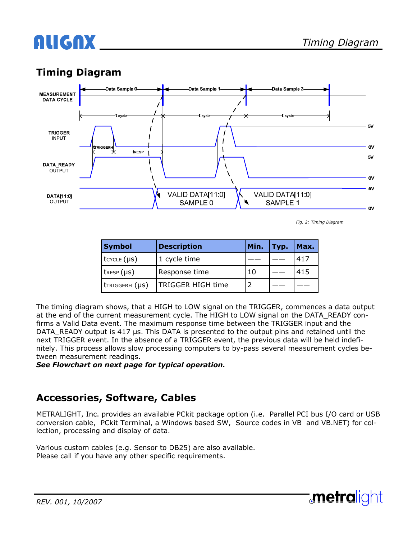# ALIGNX

### **Timing Diagram**



*Fig. 2: Timing Diagram* 

**metralight** 

| <b>Symbol</b>       | <b>Description</b> | Min. | Typ. | Max. |
|---------------------|--------------------|------|------|------|
| $t$ cycle $(\mu s)$ | 1 cycle time       |      |      | 417  |
| $t$ RESP $(\mu s)$  | Response time      | 10   |      | 415  |
| tTRIGGERH (µS)      | TRIGGER HIGH time  |      |      |      |

The timing diagram shows, that a HIGH to LOW signal on the TRIGGER, commences a data output at the end of the current measurement cycle. The HIGH to LOW signal on the DATA\_READY confirms a Valid Data event. The maximum response time between the TRIGGER input and the DATA\_READY output is 417 µs. This DATA is presented to the output pins and retained until the next TRIGGER event. In the absence of a TRIGGER event, the previous data will be held indefinitely. This process allows slow processing computers to by-pass several measurement cycles between measurement readings.

*See Flowchart on next page for typical operation.* 

#### **Accessories, Software, Cables**

METRALIGHT, Inc. provides an available PCkit package option (i.e. Parallel PCI bus I/O card or USB conversion cable, PCkit Terminal, a Windows based SW, Source codes in VB and VB.NET) for collection, processing and display of data.

Various custom cables (e.g. Sensor to DB25) are also available. Please call if you have any other specific requirements.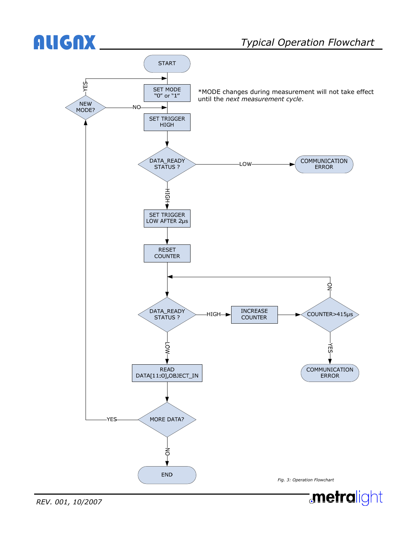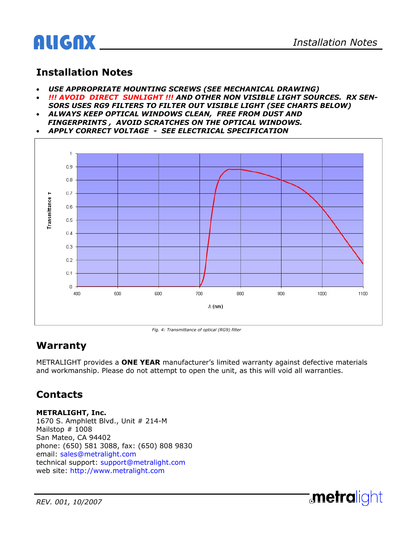

#### **Installation Notes**

- *USE APPROPRIATE MOUNTING SCREWS (SEE MECHANICAL DRAWING)*
- *!!! AVOID DIRECT SUNLIGHT !!! AND OTHER NON VISIBLE LIGHT SOURCES. RX SEN-*
- *SORS USES RG9 FILTERS TO FILTER OUT VISIBLE LIGHT (SEE CHARTS BELOW)*  • *ALWAYS KEEP OPTICAL WINDOWS CLEAN, FREE FROM DUST AND*
- *FINGERPRINTS , AVOID SCRATCHES ON THE OPTICAL WINDOWS.*





*Fig. 4: Transmittance of optical (RG9) filter* 

#### **Warranty**

METRALIGHT provides a **ONE YEAR** manufacturer's limited warranty against defective materials and workmanship. Please do not attempt to open the unit, as this will void all warranties.

#### **Contacts**

**METRALIGHT, Inc.** 

1670 S. Amphlett Blvd., Unit # 214-M Mailstop # 1008 San Mateo, CA 94402 phone: (650) 581 3088, fax: (650) 808 9830 email: sales@metralight.com technical support: support@metralight.com web site: http://www.metralight.com

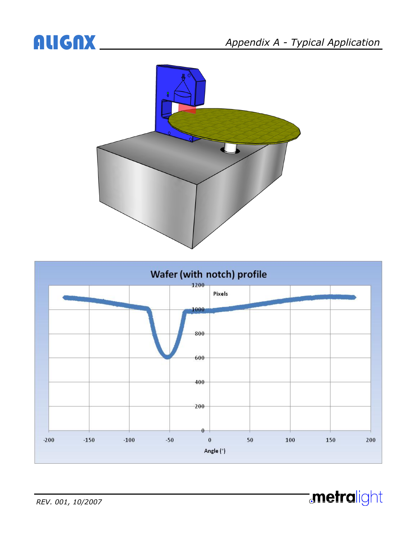**metralight**